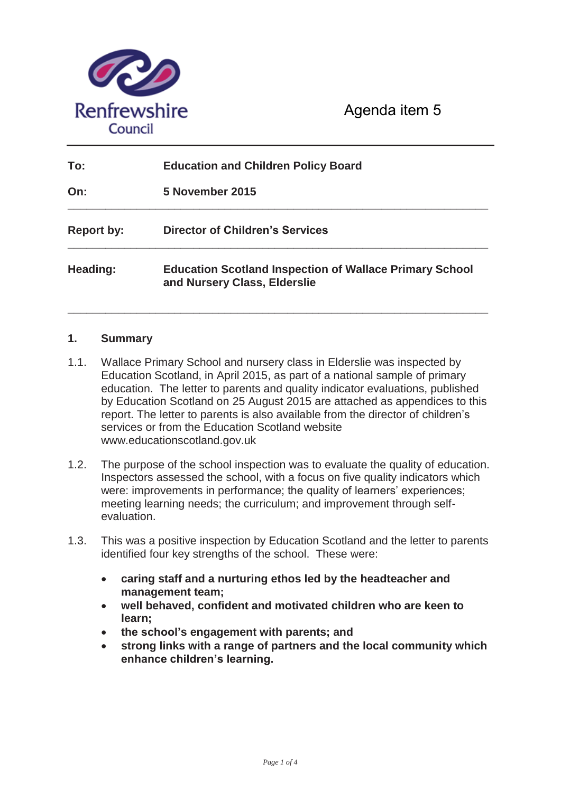

Agenda item 5

| To:               | <b>Education and Children Policy Board</b><br>5 November 2015                                  |  |
|-------------------|------------------------------------------------------------------------------------------------|--|
| On:               |                                                                                                |  |
| <b>Report by:</b> | <b>Director of Children's Services</b>                                                         |  |
| Heading:          | <b>Education Scotland Inspection of Wallace Primary School</b><br>and Nursery Class, Elderslie |  |

**\_\_\_\_\_\_\_\_\_\_\_\_\_\_\_\_\_\_\_\_\_\_\_\_\_\_\_\_\_\_\_\_\_\_\_\_\_\_\_\_\_\_\_\_\_\_\_\_\_\_\_\_\_\_\_\_\_\_\_\_\_\_\_\_\_\_\_** 

### **1. Summary**

- 1.1. Wallace Primary School and nursery class in Elderslie was inspected by Education Scotland, in April 2015, as part of a national sample of primary education. The letter to parents and quality indicator evaluations, published by Education Scotland on 25 August 2015 are attached as appendices to this report. The letter to parents is also available from the director of children's services or from the Education Scotland website www.educationscotland.gov.uk
- 1.2. The purpose of the school inspection was to evaluate the quality of education. Inspectors assessed the school, with a focus on five quality indicators which were: improvements in performance; the quality of learners' experiences; meeting learning needs; the curriculum; and improvement through selfevaluation.
- 1.3. This was a positive inspection by Education Scotland and the letter to parents identified four key strengths of the school. These were:
	- **Example 3 caring staff and a nurturing ethos led by the headteacher and management team;**
	- x **well behaved, confident and motivated children who are keen to learn;**
	- x **the school's engagement with parents; and**
	- x **strong links with a range of partners and the local community which enhance children's learning.**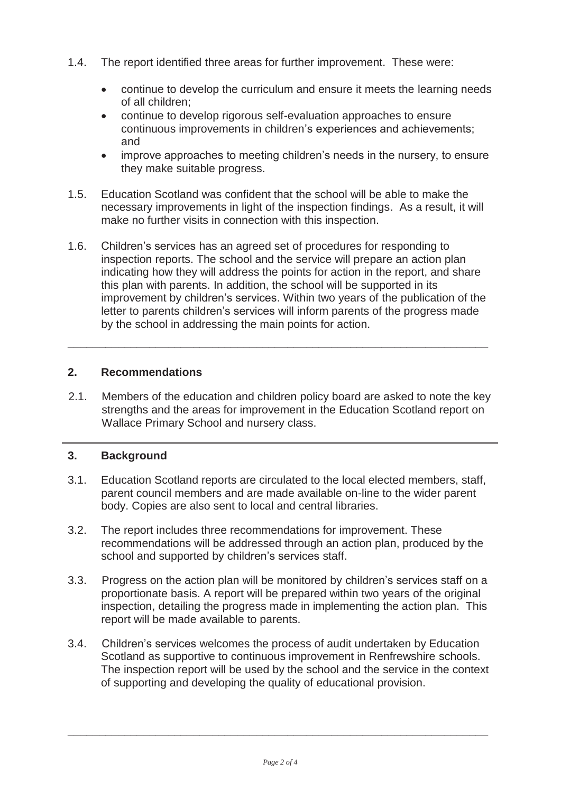- 1.4. The report identified three areas for further improvement. These were:
	- continue to develop the curriculum and ensure it meets the learning needs of all children;
	- continue to develop rigorous self-evaluation approaches to ensure continuous improvements in children's experiences and achievements; and
	- improve approaches to meeting children's needs in the nursery, to ensure they make suitable progress.
- 1.5. Education Scotland was confident that the school will be able to make the necessary improvements in light of the inspection findings. As a result, it will make no further visits in connection with this inspection.
- 1.6. Children's services has an agreed set of procedures for responding to inspection reports. The school and the service will prepare an action plan indicating how they will address the points for action in the report, and share this plan with parents. In addition, the school will be supported in its improvement by children's services. Within two years of the publication of the letter to parents children's services will inform parents of the progress made by the school in addressing the main points for action.

**\_\_\_\_\_\_\_\_\_\_\_\_\_\_\_\_\_\_\_\_\_\_\_\_\_\_\_\_\_\_\_\_\_\_\_\_\_\_\_\_\_\_\_\_\_\_\_\_\_\_\_\_\_\_\_\_\_\_\_\_\_\_\_\_\_\_\_** 

### **2. Recommendations**

2.1. Members of the education and children policy board are asked to note the key strengths and the areas for improvement in the Education Scotland report on Wallace Primary School and nursery class.

### **3. Background**

- 3.1. Education Scotland reports are circulated to the local elected members, staff, parent council members and are made available on-line to the wider parent body. Copies are also sent to local and central libraries.
- 3.2. The report includes three recommendations for improvement. These recommendations will be addressed through an action plan, produced by the school and supported by children's services staff.
- 3.3. Progress on the action plan will be monitored by children's services staff on a proportionate basis. A report will be prepared within two years of the original inspection, detailing the progress made in implementing the action plan. This report will be made available to parents.
- 3.4. Children's services welcomes the process of audit undertaken by Education Scotland as supportive to continuous improvement in Renfrewshire schools. The inspection report will be used by the school and the service in the context of supporting and developing the quality of educational provision.

**\_\_\_\_\_\_\_\_\_\_\_\_\_\_\_\_\_\_\_\_\_\_\_\_\_\_\_\_\_\_\_\_\_\_\_\_\_\_\_\_\_\_\_\_\_\_\_\_\_\_\_\_\_\_\_\_\_\_\_\_\_\_\_\_\_\_\_**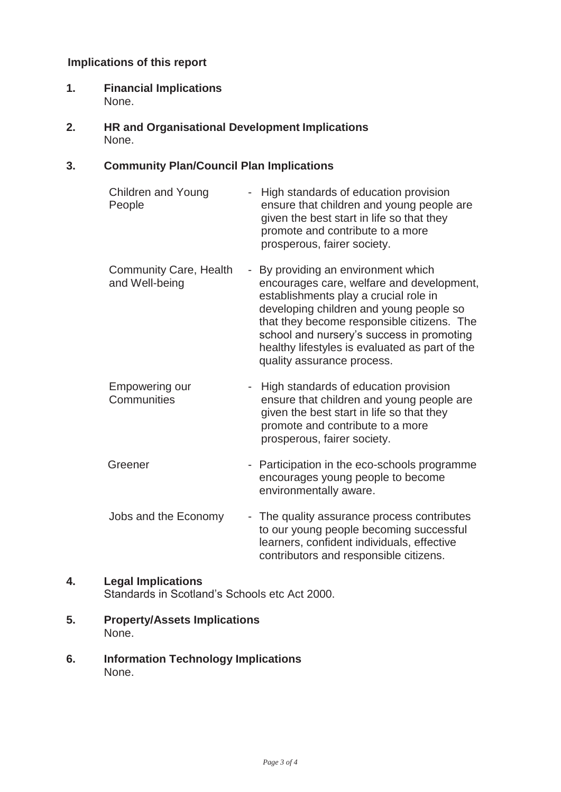### **Implications of this report**

- **1. Financial Implications** None.
- **2. HR and Organisational Development Implications** None.

## **3. Community Plan/Council Plan Implications**

| <b>Children and Young</b><br>People             | High standards of education provision<br>ensure that children and young people are<br>given the best start in life so that they<br>promote and contribute to a more<br>prosperous, fairer society.                                                                                                                                              |
|-------------------------------------------------|-------------------------------------------------------------------------------------------------------------------------------------------------------------------------------------------------------------------------------------------------------------------------------------------------------------------------------------------------|
| <b>Community Care, Health</b><br>and Well-being | - By providing an environment which<br>encourages care, welfare and development,<br>establishments play a crucial role in<br>developing children and young people so<br>that they become responsible citizens. The<br>school and nursery's success in promoting<br>healthy lifestyles is evaluated as part of the<br>quality assurance process. |
| Empowering our<br>Communities                   | High standards of education provision<br>ensure that children and young people are<br>given the best start in life so that they<br>promote and contribute to a more<br>prosperous, fairer society.                                                                                                                                              |
| Greener                                         | - Participation in the eco-schools programme<br>encourages young people to become<br>environmentally aware.                                                                                                                                                                                                                                     |
| بمحدد والمطلب المصحيح بمطاعا                    | The suitable construction were considered and the set                                                                                                                                                                                                                                                                                           |

Jobs and the Economy - The quality assurance process contributes to our young people becoming successful learners, confident individuals, effective contributors and responsible citizens.

# **4. Legal Implications**

Standards in Scotland's Schools etc Act 2000.

- **5. Property/Assets Implications** None.
- **6. Information Technology Implications** None.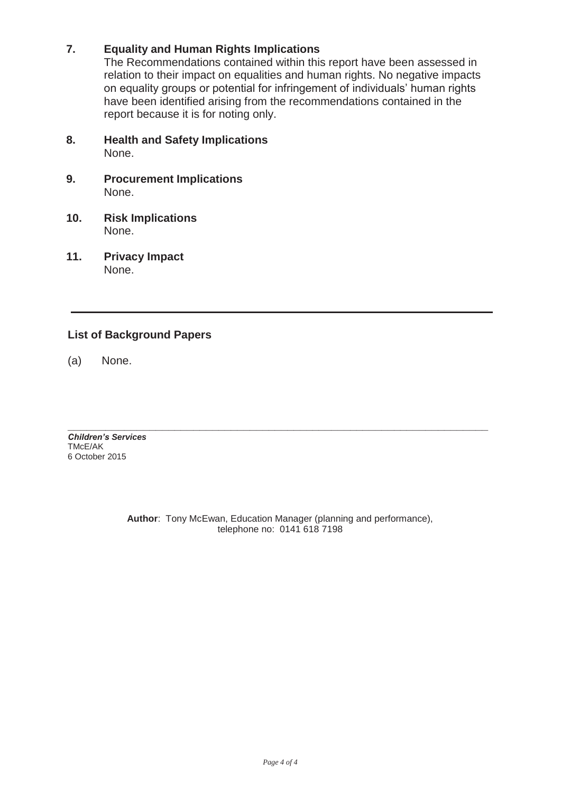## **7. Equality and Human Rights Implications**

The Recommendations contained within this report have been assessed in relation to their impact on equalities and human rights. No negative impacts on equality groups or potential for infringement of individuals' human rights have been identified arising from the recommendations contained in the report because it is for noting only.

- **8. Health and Safety Implications** None.
- **9. Procurement Implications** None.
- **10. Risk Implications** None.
- **11. Privacy Impact** None.

## **List of Background Papers**

(a) None.

*Children's Services*  TMcE/AK 6 October 2015

> **Author**: Tony McEwan, Education Manager (planning and performance), telephone no: 0141 618 7198

**\_\_\_\_\_\_\_\_\_\_\_\_\_\_\_\_\_\_\_\_\_\_\_\_\_\_\_\_\_\_\_\_\_\_\_\_\_\_\_\_\_\_\_\_\_\_\_\_\_\_\_\_\_\_\_\_\_\_\_\_\_\_\_\_\_\_\_**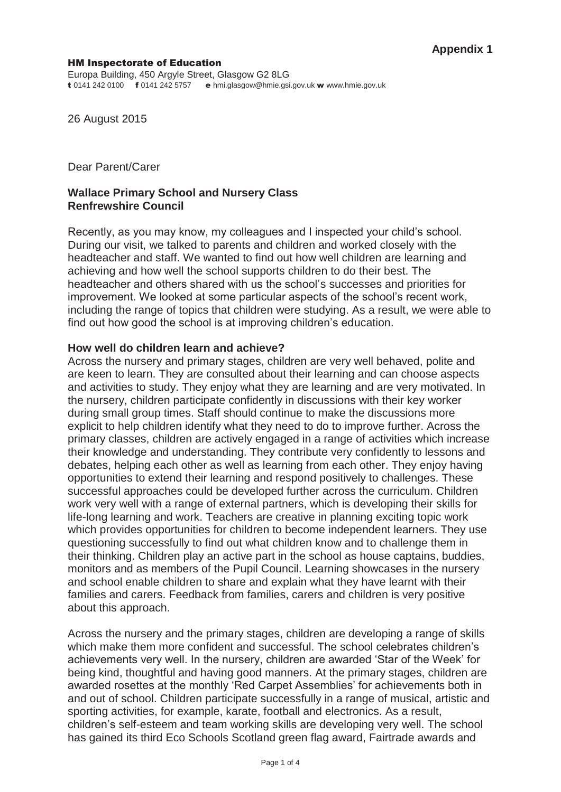#### HM Inspectorate of Education

26 August 2015

Dear Parent/Carer

### **Wallace Primary School and Nursery Class Renfrewshire Council**

Recently, as you may know, my colleagues and I inspected your child's school. During our visit, we talked to parents and children and worked closely with the headteacher and staff. We wanted to find out how well children are learning and achieving and how well the school supports children to do their best. The headteacher and others shared with us the school's successes and priorities for improvement. We looked at some particular aspects of the school's recent work, including the range of topics that children were studying. As a result, we were able to find out how good the school is at improving children's education.

#### **How well do children learn and achieve?**

Across the nursery and primary stages, children are very well behaved, polite and are keen to learn. They are consulted about their learning and can choose aspects and activities to study. They enjoy what they are learning and are very motivated. In the nursery, children participate confidently in discussions with their key worker during small group times. Staff should continue to make the discussions more explicit to help children identify what they need to do to improve further. Across the primary classes, children are actively engaged in a range of activities which increase their knowledge and understanding. They contribute very confidently to lessons and debates, helping each other as well as learning from each other. They enjoy having opportunities to extend their learning and respond positively to challenges. These successful approaches could be developed further across the curriculum. Children work very well with a range of external partners, which is developing their skills for life-long learning and work. Teachers are creative in planning exciting topic work which provides opportunities for children to become independent learners. They use questioning successfully to find out what children know and to challenge them in their thinking. Children play an active part in the school as house captains, buddies, monitors and as members of the Pupil Council. Learning showcases in the nursery and school enable children to share and explain what they have learnt with their families and carers. Feedback from families, carers and children is very positive about this approach.

Across the nursery and the primary stages, children are developing a range of skills which make them more confident and successful. The school celebrates children's achievements very well. In the nursery, children are awarded 'Star of the Week' for being kind, thoughtful and having good manners. At the primary stages, children are awarded rosettes at the monthly 'Red Carpet Assemblies' for achievements both in and out of school. Children participate successfully in a range of musical, artistic and sporting activities, for example, karate, football and electronics. As a result, children's self-esteem and team working skills are developing very well. The school has gained its third Eco Schools Scotland green flag award, Fairtrade awards and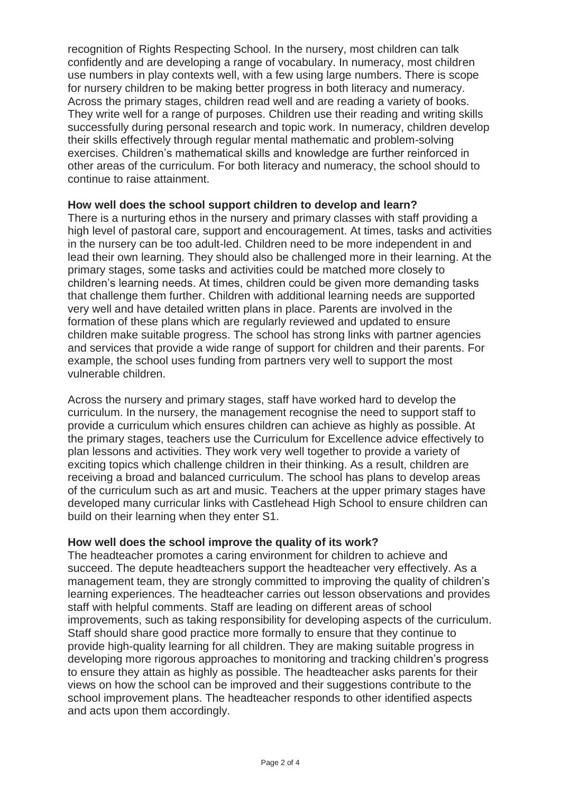recognition of Rights Respecting School. In the nursery, most children can talk confidently and are developing a range of vocabulary. In numeracy, most children use numbers in play contexts well, with a few using large numbers. There is scope for nursery children to be making better progress in both literacy and numeracy. Across the primary stages, children read well and are reading a variety of books. They write well for a range of purposes. Children use their reading and writing skills successfully during personal research and topic work. In numeracy, children develop their skills effectively through regular mental mathematic and problem-solving exercises. Children's mathematical skills and knowledge are further reinforced in other areas of the curriculum. For both literacy and numeracy, the school should to continue to raise attainment.

### **How well does the school support children to develop and learn?**

There is a nurturing ethos in the nursery and primary classes with staff providing a high level of pastoral care, support and encouragement. At times, tasks and activities in the nursery can be too adult-led. Children need to be more independent in and lead their own learning. They should also be challenged more in their learning. At the primary stages, some tasks and activities could be matched more closely to children's learning needs. At times, children could be given more demanding tasks that challenge them further. Children with additional learning needs are supported very well and have detailed written plans in place. Parents are involved in the formation of these plans which are regularly reviewed and updated to ensure children make suitable progress. The school has strong links with partner agencies and services that provide a wide range of support for children and their parents. For example, the school uses funding from partners very well to support the most vulnerable children.

Across the nursery and primary stages, staff have worked hard to develop the curriculum. In the nursery, the management recognise the need to support staff to provide a curriculum which ensures children can achieve as highly as possible. At the primary stages, teachers use the Curriculum for Excellence advice effectively to plan lessons and activities. They work very well together to provide a variety of exciting topics which challenge children in their thinking. As a result, children are receiving a broad and balanced curriculum. The school has plans to develop areas of the curriculum such as art and music. Teachers at the upper primary stages have developed many curricular links with Castlehead High School to ensure children can build on their learning when they enter S1.

### **How well does the school improve the quality of its work?**

The headteacher promotes a caring environment for children to achieve and succeed. The depute headteachers support the headteacher very effectively. As a management team, they are strongly committed to improving the quality of children's learning experiences. The headteacher carries out lesson observations and provides staff with helpful comments. Staff are leading on different areas of school improvements, such as taking responsibility for developing aspects of the curriculum. Staff should share good practice more formally to ensure that they continue to provide high-quality learning for all children. They are making suitable progress in developing more rigorous approaches to monitoring and tracking children's progress to ensure they attain as highly as possible. The headteacher asks parents for their views on how the school can be improved and their suggestions contribute to the school improvement plans. The headteacher responds to other identified aspects and acts upon them accordingly.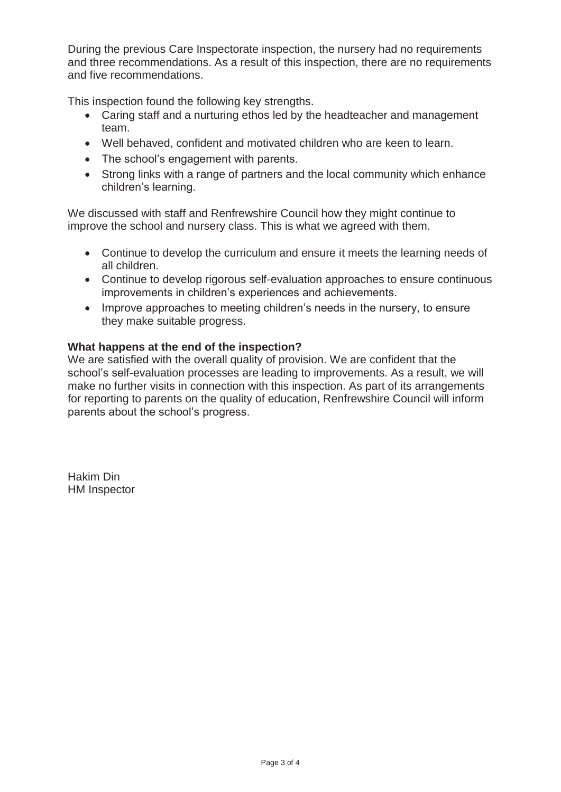During the previous Care Inspectorate inspection, the nursery had no requirements and three recommendations. As a result of this inspection, there are no requirements and five recommendations.

This inspection found the following key strengths.

- Caring staff and a nurturing ethos led by the headteacher and management team.
- Well behaved, confident and motivated children who are keen to learn.
- The school's engagement with parents.
- Strong links with a range of partners and the local community which enhance children's learning.

We discussed with staff and Renfrewshire Council how they might continue to improve the school and nursery class. This is what we agreed with them.

- Continue to develop the curriculum and ensure it meets the learning needs of all children.
- Continue to develop rigorous self-evaluation approaches to ensure continuous improvements in children's experiences and achievements.
- Improve approaches to meeting children's needs in the nursery, to ensure they make suitable progress.

### **What happens at the end of the inspection?**

We are satisfied with the overall quality of provision. We are confident that the school's self-evaluation processes are leading to improvements. As a result, we will make no further visits in connection with this inspection. As part of its arrangements for reporting to parents on the quality of education, Renfrewshire Council will inform parents about the school's progress.

Hakim Din HM Inspector